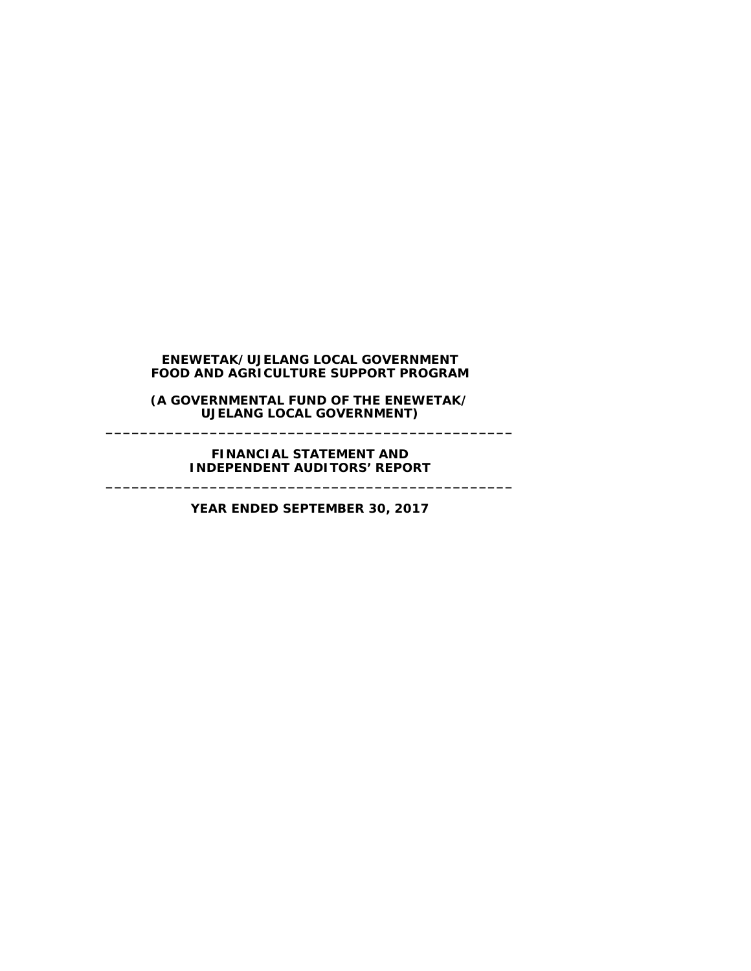**(A GOVERNMENTAL FUND OF THE ENEWETAK/ UJELANG LOCAL GOVERNMENT) \_\_\_\_\_\_\_\_\_\_\_\_\_\_\_\_\_\_\_\_\_\_\_\_\_\_\_\_\_\_\_\_\_\_\_\_\_\_\_\_\_\_\_\_\_\_\_**

**FINANCIAL STATEMENT AND INDEPENDENT AUDITORS' REPORT \_\_\_\_\_\_\_\_\_\_\_\_\_\_\_\_\_\_\_\_\_\_\_\_\_\_\_\_\_\_\_\_\_\_\_\_\_\_\_\_\_\_\_\_\_\_\_**

**YEAR ENDED SEPTEMBER 30, 2017**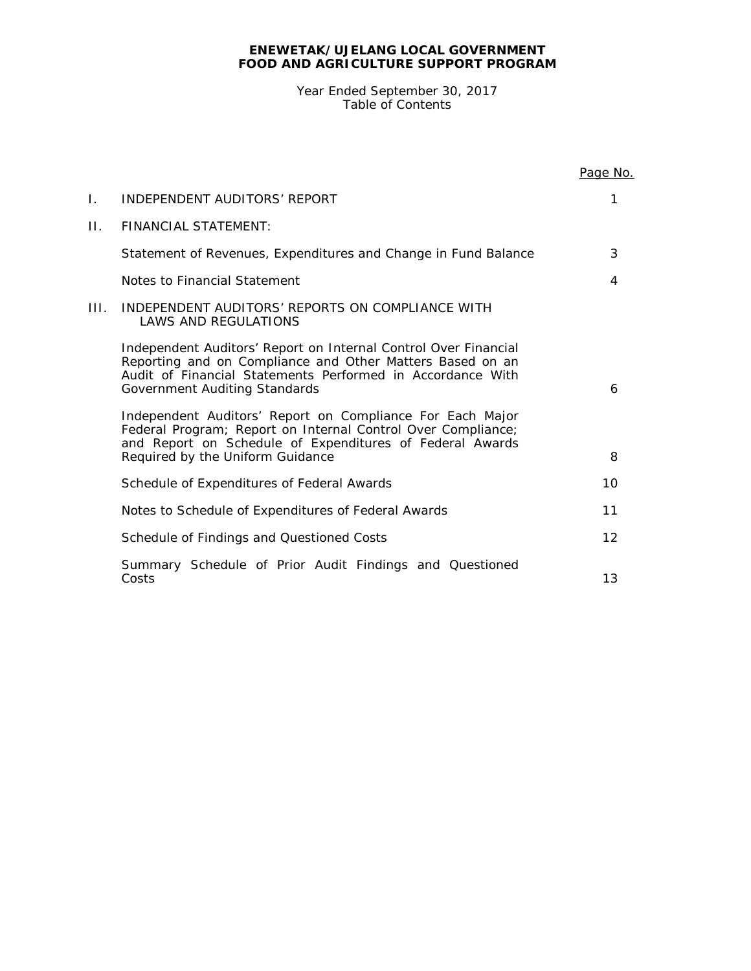Year Ended September 30, 2017 Table of Contents

|      |                                                                                                                                                                                                                             | Page No. |
|------|-----------------------------------------------------------------------------------------------------------------------------------------------------------------------------------------------------------------------------|----------|
| Ι.   | INDEPENDENT AUDITORS' REPORT                                                                                                                                                                                                | 1        |
| П.   | <b>FINANCIAL STATEMENT:</b>                                                                                                                                                                                                 |          |
|      | Statement of Revenues, Expenditures and Change in Fund Balance                                                                                                                                                              | 3        |
|      | Notes to Financial Statement                                                                                                                                                                                                | 4        |
| III. | INDEPENDENT AUDITORS' REPORTS ON COMPLIANCE WITH<br>LAWS AND REGULATIONS                                                                                                                                                    |          |
|      | Independent Auditors' Report on Internal Control Over Financial<br>Reporting and on Compliance and Other Matters Based on an<br>Audit of Financial Statements Performed in Accordance With<br>Government Auditing Standards | 6        |
|      | Independent Auditors' Report on Compliance For Each Major<br>Federal Program; Report on Internal Control Over Compliance;<br>and Report on Schedule of Expenditures of Federal Awards<br>Required by the Uniform Guidance   | 8        |
|      | Schedule of Expenditures of Federal Awards                                                                                                                                                                                  | 10       |
|      | Notes to Schedule of Expenditures of Federal Awards                                                                                                                                                                         | 11       |
|      | Schedule of Findings and Questioned Costs                                                                                                                                                                                   | 12       |
|      | Summary Schedule of Prior Audit Findings and Questioned<br>Costs                                                                                                                                                            | 13       |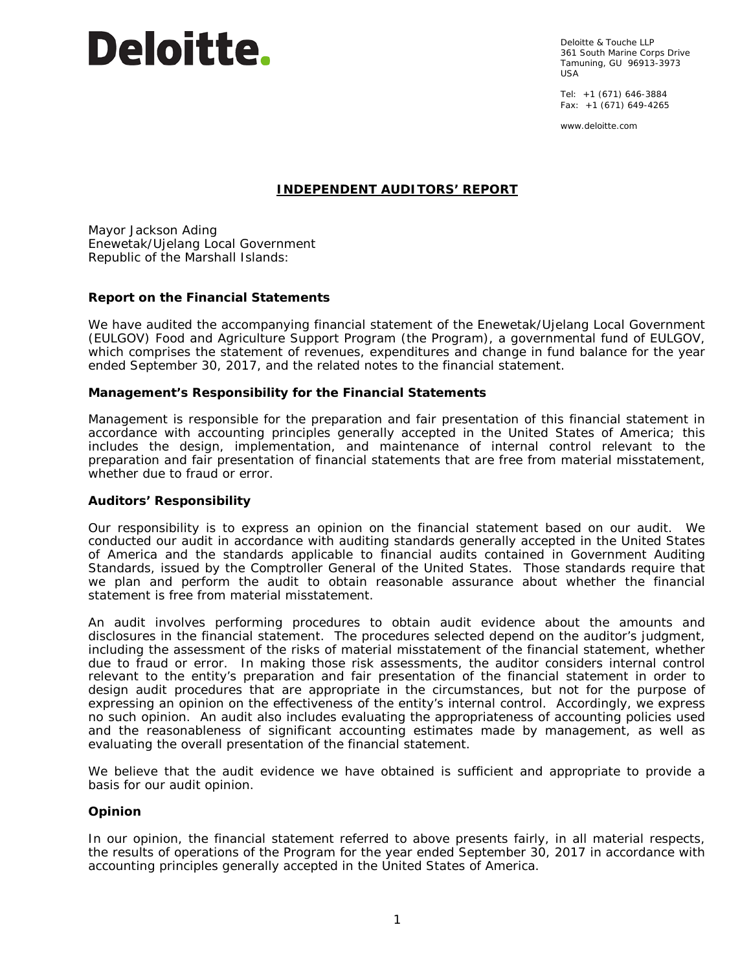# **Deloitte.**

Deloitte & Touche LLP 361 South Marine Corps Drive Tamuning, GU 96913-3973 USA

Tel: +1 (671) 646-3884 Fax: +1 (671) 649-4265

www.deloitte.com

### **INDEPENDENT AUDITORS' REPORT**

Mayor Jackson Ading Enewetak/Ujelang Local Government Republic of the Marshall Islands:

### **Report on the Financial Statements**

We have audited the accompanying financial statement of the Enewetak/Ujelang Local Government (EULGOV) Food and Agriculture Support Program (the Program), a governmental fund of EULGOV, which comprises the statement of revenues, expenditures and change in fund balance for the year ended September 30, 2017, and the related notes to the financial statement.

### *Management's Responsibility for the Financial Statements*

Management is responsible for the preparation and fair presentation of this financial statement in accordance with accounting principles generally accepted in the United States of America; this includes the design, implementation, and maintenance of internal control relevant to the preparation and fair presentation of financial statements that are free from material misstatement, whether due to fraud or error.

### *Auditors' Responsibility*

Our responsibility is to express an opinion on the financial statement based on our audit. We conducted our audit in accordance with auditing standards generally accepted in the United States of America and the standards applicable to financial audits contained in *Government Auditing Standards*, issued by the Comptroller General of the United States. Those standards require that we plan and perform the audit to obtain reasonable assurance about whether the financial statement is free from material misstatement.

An audit involves performing procedures to obtain audit evidence about the amounts and disclosures in the financial statement. The procedures selected depend on the auditor's judgment, including the assessment of the risks of material misstatement of the financial statement, whether due to fraud or error. In making those risk assessments, the auditor considers internal control relevant to the entity's preparation and fair presentation of the financial statement in order to design audit procedures that are appropriate in the circumstances, but not for the purpose of expressing an opinion on the effectiveness of the entity's internal control. Accordingly, we express no such opinion. An audit also includes evaluating the appropriateness of accounting policies used and the reasonableness of significant accounting estimates made by management, as well as evaluating the overall presentation of the financial statement.

We believe that the audit evidence we have obtained is sufficient and appropriate to provide a basis for our audit opinion.

### *Opinion*

In our opinion, the financial statement referred to above presents fairly, in all material respects, the results of operations of the Program for the year ended September 30, 2017 in accordance with accounting principles generally accepted in the United States of America.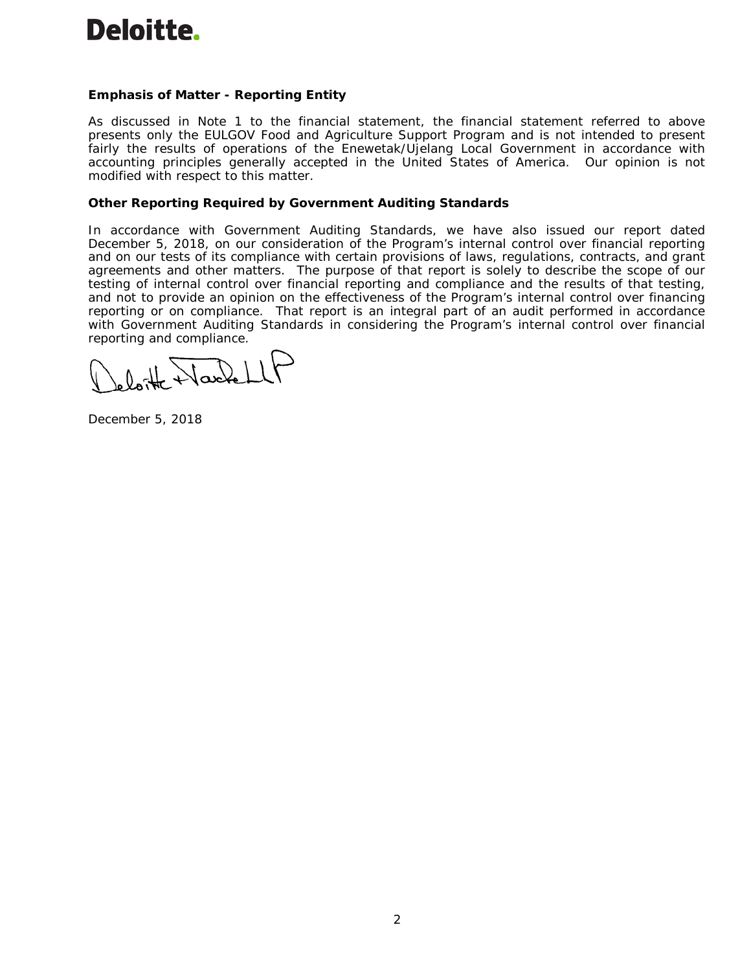

### **Emphasis of Matter - Reporting Entity**

As discussed in Note 1 to the financial statement, the financial statement referred to above presents only the EULGOV Food and Agriculture Support Program and is not intended to present fairly the results of operations of the Enewetak/Ujelang Local Government in accordance with accounting principles generally accepted in the United States of America. Our opinion is not modified with respect to this matter.

### **Other Reporting Required by** *Government Auditing Standards*

In accordance with *Government Auditing Standards*, we have also issued our report dated December 5, 2018, on our consideration of the Program's internal control over financial reporting and on our tests of its compliance with certain provisions of laws, regulations, contracts, and grant agreements and other matters. The purpose of that report is solely to describe the scope of our testing of internal control over financial reporting and compliance and the results of that testing, and not to provide an opinion on the effectiveness of the Program's internal control over financing reporting or on compliance. That report is an integral part of an audit performed in accordance with *Government Auditing Standards* in considering the Program's internal control over financial reporting and compliance.

 $0.1$  Nackel

December 5, 2018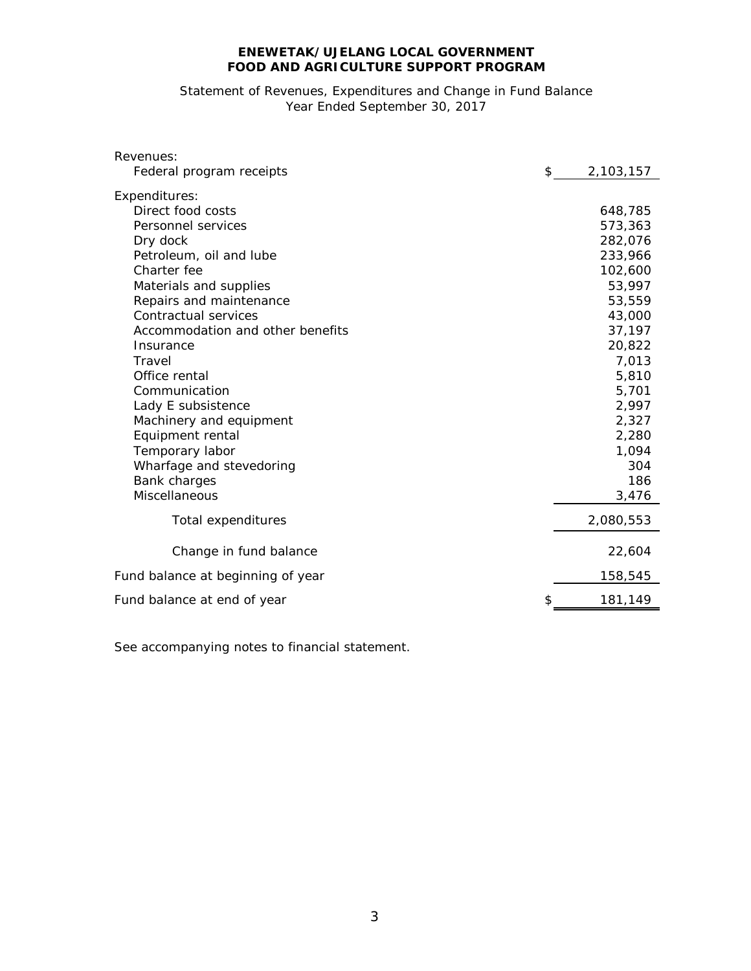## Statement of Revenues, Expenditures and Change in Fund Balance Year Ended September 30, 2017

| Revenues:                         |           |  |  |
|-----------------------------------|-----------|--|--|
| Federal program receipts<br>\$    | 2,103,157 |  |  |
| Expenditures:                     |           |  |  |
| Direct food costs                 | 648,785   |  |  |
| Personnel services                | 573,363   |  |  |
| Dry dock                          | 282,076   |  |  |
| Petroleum, oil and lube           | 233,966   |  |  |
| Charter fee                       | 102,600   |  |  |
| Materials and supplies            | 53,997    |  |  |
| Repairs and maintenance           | 53,559    |  |  |
| Contractual services              | 43,000    |  |  |
| Accommodation and other benefits  | 37,197    |  |  |
| Insurance                         | 20,822    |  |  |
| Travel                            | 7,013     |  |  |
| Office rental                     | 5,810     |  |  |
| Communication                     | 5,701     |  |  |
| Lady E subsistence                | 2,997     |  |  |
| Machinery and equipment           | 2,327     |  |  |
| Equipment rental                  | 2,280     |  |  |
| Temporary labor                   | 1,094     |  |  |
| Wharfage and stevedoring          | 304       |  |  |
| <b>Bank charges</b>               | 186       |  |  |
| Miscellaneous                     | 3,476     |  |  |
| Total expenditures                | 2,080,553 |  |  |
| Change in fund balance            | 22,604    |  |  |
| Fund balance at beginning of year | 158,545   |  |  |
| \$<br>Fund balance at end of year | 181,149   |  |  |

See accompanying notes to financial statement.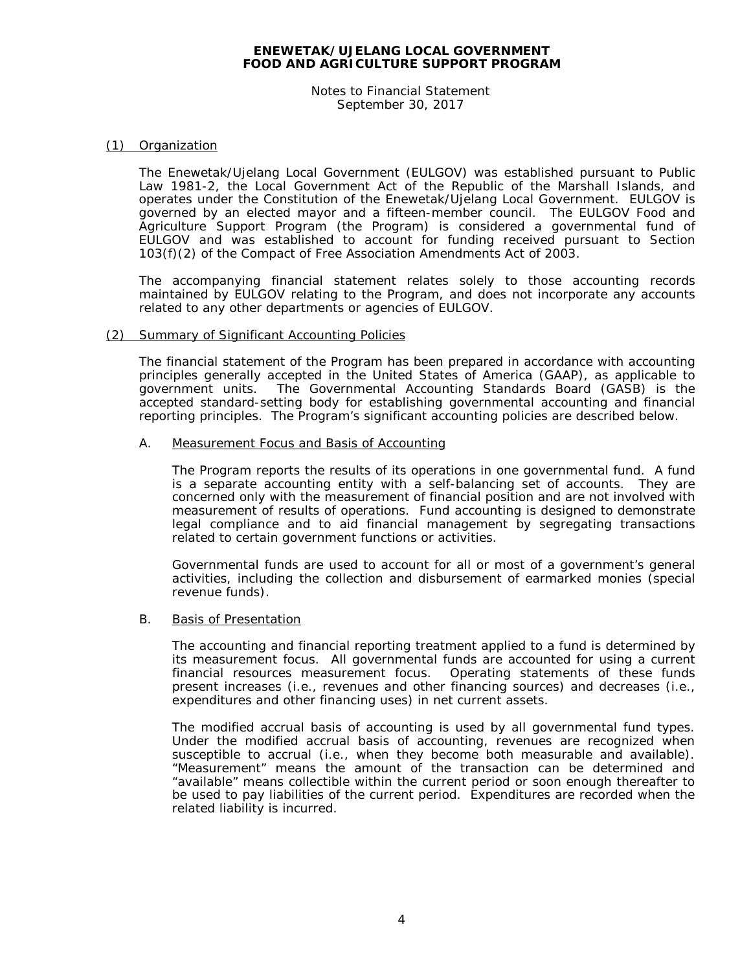Notes to Financial Statement September 30, 2017

### (1) Organization

The Enewetak/Ujelang Local Government (EULGOV) was established pursuant to Public Law 1981-2, the Local Government Act of the Republic of the Marshall Islands, and operates under the Constitution of the Enewetak/Ujelang Local Government. EULGOV is governed by an elected mayor and a fifteen-member council. The EULGOV Food and Agriculture Support Program (the Program) is considered a governmental fund of EULGOV and was established to account for funding received pursuant to Section 103(f)(2) of the Compact of Free Association Amendments Act of 2003.

The accompanying financial statement relates solely to those accounting records maintained by EULGOV relating to the Program, and does not incorporate any accounts related to any other departments or agencies of EULGOV.

### (2) Summary of Significant Accounting Policies

The financial statement of the Program has been prepared in accordance with accounting principles generally accepted in the United States of America (GAAP), as applicable to government units. The Governmental Accounting Standards Board (GASB) is the accepted standard-setting body for establishing governmental accounting and financial reporting principles. The Program's significant accounting policies are described below.

### A. Measurement Focus and Basis of Accounting

The Program reports the results of its operations in one governmental fund. A fund is a separate accounting entity with a self-balancing set of accounts. They are concerned only with the measurement of financial position and are not involved with measurement of results of operations. Fund accounting is designed to demonstrate legal compliance and to aid financial management by segregating transactions related to certain government functions or activities.

Governmental funds are used to account for all or most of a government's general activities, including the collection and disbursement of earmarked monies (special revenue funds).

### B. Basis of Presentation

The accounting and financial reporting treatment applied to a fund is determined by its measurement focus. All governmental funds are accounted for using a current Operating statements of these funds present increases (i.e., revenues and other financing sources) and decreases (i.e., expenditures and other financing uses) in net current assets.

The modified accrual basis of accounting is used by all governmental fund types. Under the modified accrual basis of accounting, revenues are recognized when susceptible to accrual (i.e., when they become both measurable and available). "Measurement" means the amount of the transaction can be determined and "available" means collectible within the current period or soon enough thereafter to be used to pay liabilities of the current period. Expenditures are recorded when the related liability is incurred.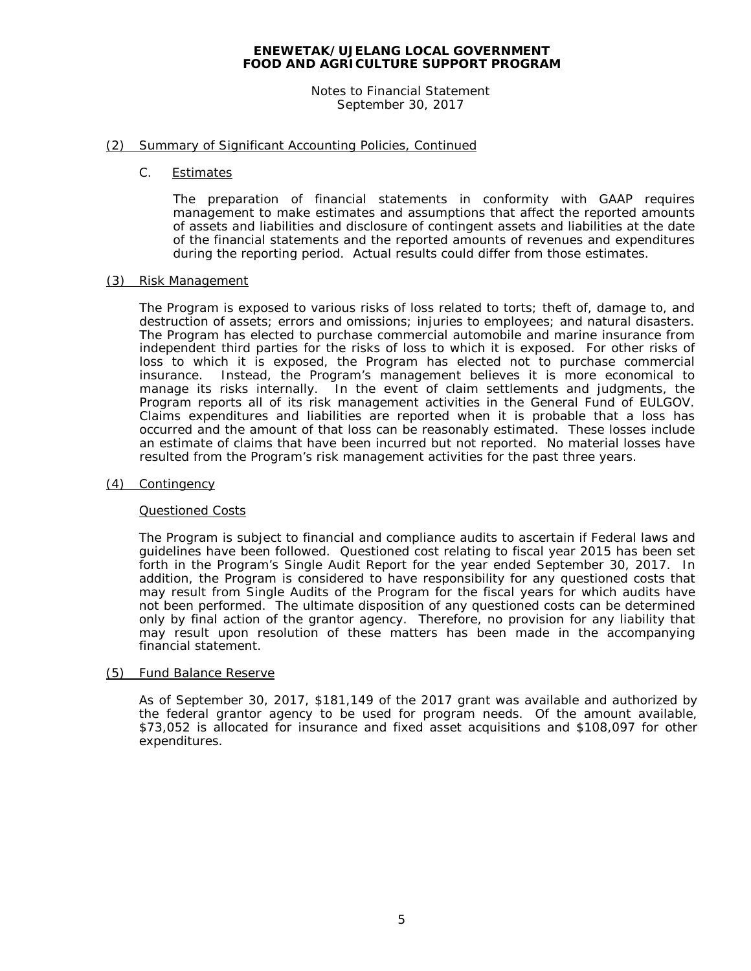Notes to Financial Statement September 30, 2017

### (2) Summary of Significant Accounting Policies, Continued

C. Estimates

The preparation of financial statements in conformity with GAAP requires management to make estimates and assumptions that affect the reported amounts of assets and liabilities and disclosure of contingent assets and liabilities at the date of the financial statements and the reported amounts of revenues and expenditures during the reporting period. Actual results could differ from those estimates.

### (3) Risk Management

The Program is exposed to various risks of loss related to torts; theft of, damage to, and destruction of assets; errors and omissions; injuries to employees; and natural disasters. The Program has elected to purchase commercial automobile and marine insurance from independent third parties for the risks of loss to which it is exposed. For other risks of loss to which it is exposed, the Program has elected not to purchase commercial insurance. Instead, the Program's management believes it is more economical to manage its risks internally. In the event of claim settlements and judgments, the Program reports all of its risk management activities in the General Fund of EULGOV. Claims expenditures and liabilities are reported when it is probable that a loss has occurred and the amount of that loss can be reasonably estimated. These losses include an estimate of claims that have been incurred but not reported. No material losses have resulted from the Program's risk management activities for the past three years.

### (4) Contingency

### Questioned Costs

The Program is subject to financial and compliance audits to ascertain if Federal laws and guidelines have been followed. Questioned cost relating to fiscal year 2015 has been set forth in the Program's Single Audit Report for the year ended September 30, 2017. In addition, the Program is considered to have responsibility for any questioned costs that may result from Single Audits of the Program for the fiscal years for which audits have not been performed. The ultimate disposition of any questioned costs can be determined only by final action of the grantor agency. Therefore, no provision for any liability that may result upon resolution of these matters has been made in the accompanying financial statement.

### (5) Fund Balance Reserve

As of September 30, 2017, \$181,149 of the 2017 grant was available and authorized by the federal grantor agency to be used for program needs. Of the amount available, \$73,052 is allocated for insurance and fixed asset acquisitions and \$108,097 for other expenditures.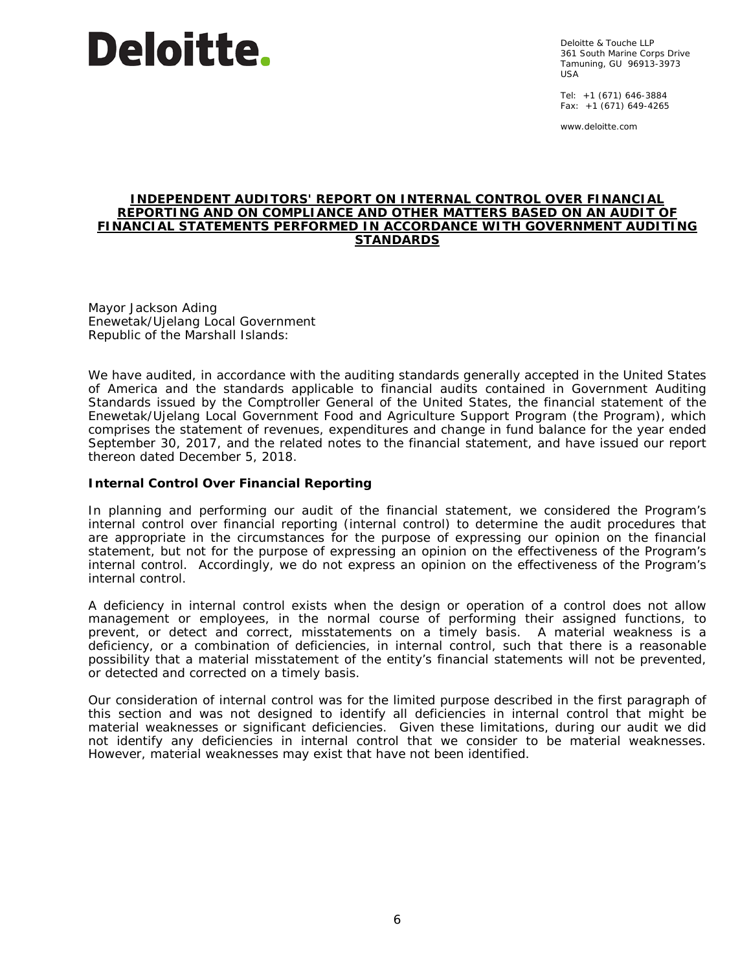# **Deloitte.**

Deloitte & Touche LLP 361 South Marine Corps Drive Tamuning, GU 96913-3973 USA

Tel: +1 (671) 646-3884 Fax: +1 (671) 649-4265

www.deloitte.com

### **INDEPENDENT AUDITORS' REPORT ON INTERNAL CONTROL OVER FINANCIAL REPORTING AND ON COMPLIANCE AND OTHER MATTERS BASED ON AN AUDIT OF FINANCIAL STATEMENTS PERFORMED IN ACCORDANCE WITH** *GOVERNMENT AUDITING STANDARDS*

Mayor Jackson Ading Enewetak/Ujelang Local Government Republic of the Marshall Islands:

We have audited, in accordance with the auditing standards generally accepted in the United States of America and the standards applicable to financial audits contained in *Government Auditing Standards* issued by the Comptroller General of the United States, the financial statement of the Enewetak/Ujelang Local Government Food and Agriculture Support Program (the Program), which comprises the statement of revenues, expenditures and change in fund balance for the year ended September 30, 2017, and the related notes to the financial statement, and have issued our report thereon dated December 5, 2018.

### **Internal Control Over Financial Reporting**

In planning and performing our audit of the financial statement, we considered the Program's internal control over financial reporting (internal control) to determine the audit procedures that are appropriate in the circumstances for the purpose of expressing our opinion on the financial statement, but not for the purpose of expressing an opinion on the effectiveness of the Program's internal control. Accordingly, we do not express an opinion on the effectiveness of the Program's internal control.

A *deficiency in internal control* exists when the design or operation of a control does not allow management or employees, in the normal course of performing their assigned functions, to prevent, or detect and correct, misstatements on a timely basis. A *material weakness* is a deficiency, or a combination of deficiencies, in internal control, such that there is a reasonable possibility that a material misstatement of the entity's financial statements will not be prevented, or detected and corrected on a timely basis.

Our consideration of internal control was for the limited purpose described in the first paragraph of this section and was not designed to identify all deficiencies in internal control that might be material weaknesses or significant deficiencies. Given these limitations, during our audit we did not identify any deficiencies in internal control that we consider to be material weaknesses. However, material weaknesses may exist that have not been identified.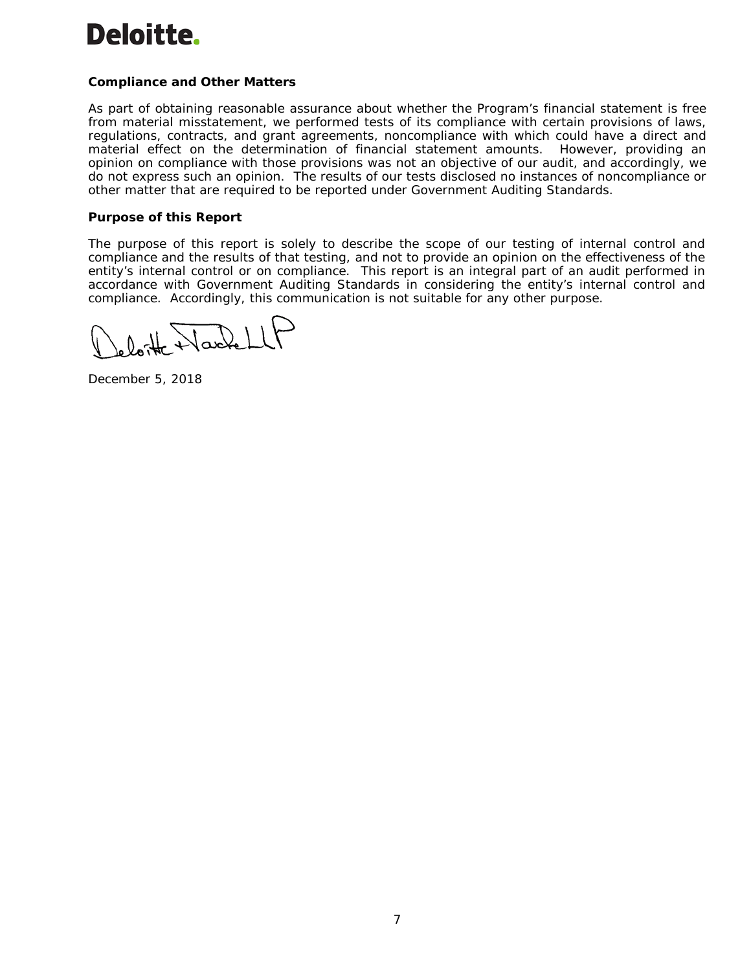# Deloitte.

### **Compliance and Other Matters**

As part of obtaining reasonable assurance about whether the Program's financial statement is free from material misstatement, we performed tests of its compliance with certain provisions of laws, regulations, contracts, and grant agreements, noncompliance with which could have a direct and material effect on the determination of financial statement amounts. However, providing an opinion on compliance with those provisions was not an objective of our audit, and accordingly, we do not express such an opinion. The results of our tests disclosed no instances of noncompliance or other matter that are required to be reported under *Government Auditing Standards*.

### **Purpose of this Report**

The purpose of this report is solely to describe the scope of our testing of internal control and compliance and the results of that testing, and not to provide an opinion on the effectiveness of the entity's internal control or on compliance. This report is an integral part of an audit performed in accordance with *Government Auditing Standards* in considering the entity's internal control and compliance. Accordingly, this communication is not suitable for any other purpose.

December 5, 2018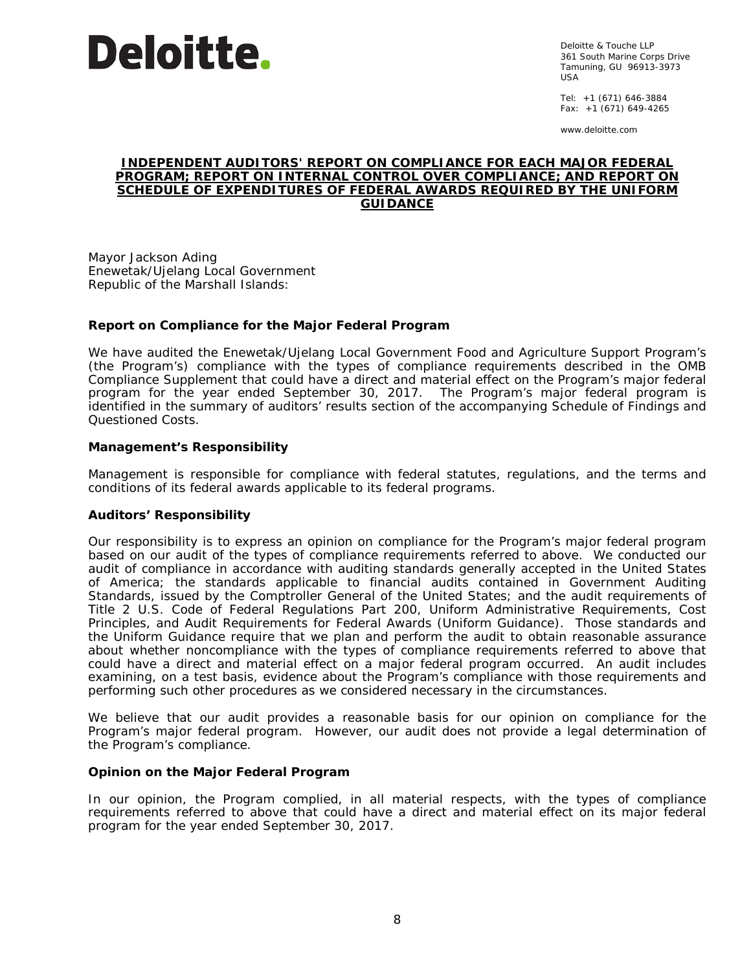

Deloitte & Touche LLP 361 South Marine Corps Drive Tamuning, GU 96913-3973 USA

Tel: +1 (671) 646-3884 Fax: +1 (671) 649-4265

www.deloitte.com

### **INDEPENDENT AUDITORS' REPORT ON COMPLIANCE FOR EACH MAJOR FEDERAL PROGRAM; REPORT ON INTERNAL CONTROL OVER COMPLIANCE; AND REPORT ON SCHEDULE OF EXPENDITURES OF FEDERAL AWARDS REQUIRED BY THE UNIFORM GUIDANCE**

Mayor Jackson Ading Enewetak/Ujelang Local Government Republic of the Marshall Islands:

### **Report on Compliance for the Major Federal Program**

We have audited the Enewetak/Ujelang Local Government Food and Agriculture Support Program's (the Program's) compliance with the types of compliance requirements described in the *OMB Compliance Supplement* that could have a direct and material effect on the Program's major federal program for the year ended September 30, 2017. The Program's major federal program is identified in the summary of auditors' results section of the accompanying Schedule of Findings and Questioned Costs.

### *Management's Responsibility*

Management is responsible for compliance with federal statutes, regulations, and the terms and conditions of its federal awards applicable to its federal programs.

### *Auditors' Responsibility*

Our responsibility is to express an opinion on compliance for the Program's major federal program based on our audit of the types of compliance requirements referred to above. We conducted our audit of compliance in accordance with auditing standards generally accepted in the United States of America; the standards applicable to financial audits contained in *Government Auditing Standards*, issued by the Comptroller General of the United States; and the audit requirements of Title 2 U.S. *Code of Federal Regulations* Part 200, *Uniform Administrative Requirements, Cost Principles, and Audit Requirements for Federal Awards* (Uniform Guidance). Those standards and the Uniform Guidance require that we plan and perform the audit to obtain reasonable assurance about whether noncompliance with the types of compliance requirements referred to above that could have a direct and material effect on a major federal program occurred. An audit includes examining, on a test basis, evidence about the Program's compliance with those requirements and performing such other procedures as we considered necessary in the circumstances.

We believe that our audit provides a reasonable basis for our opinion on compliance for the Program's major federal program. However, our audit does not provide a legal determination of the Program's compliance.

### *Opinion on the Major Federal Program*

In our opinion, the Program complied, in all material respects, with the types of compliance requirements referred to above that could have a direct and material effect on its major federal program for the year ended September 30, 2017.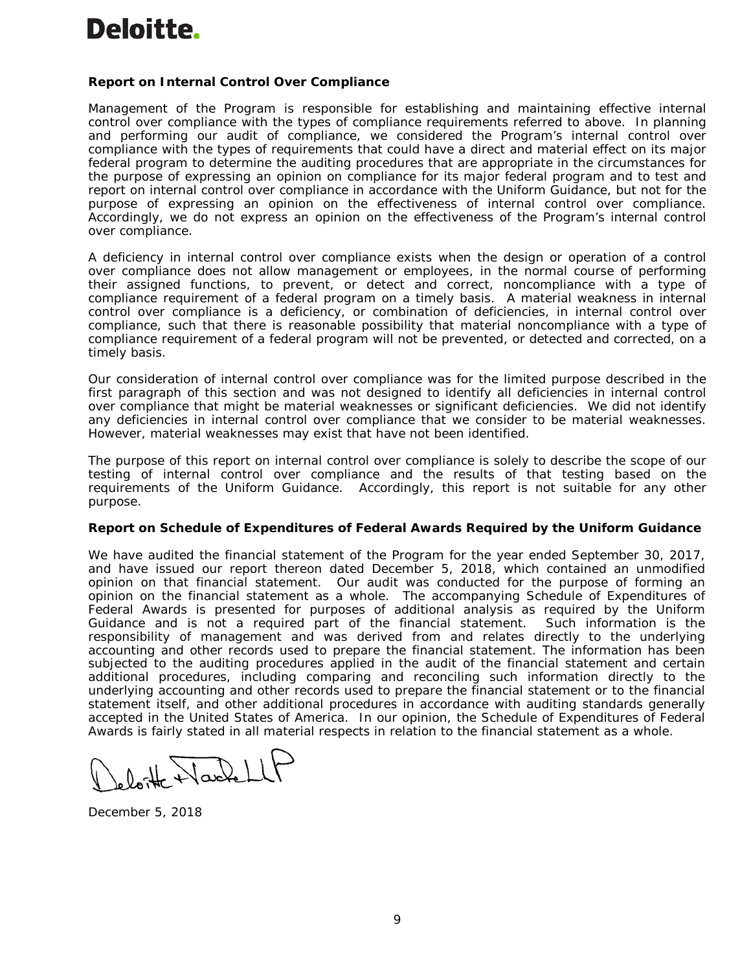### **Report on Internal Control Over Compliance**

Management of the Program is responsible for establishing and maintaining effective internal control over compliance with the types of compliance requirements referred to above. In planning and performing our audit of compliance, we considered the Program's internal control over compliance with the types of requirements that could have a direct and material effect on its major federal program to determine the auditing procedures that are appropriate in the circumstances for the purpose of expressing an opinion on compliance for its major federal program and to test and report on internal control over compliance in accordance with the Uniform Guidance, but not for the purpose of expressing an opinion on the effectiveness of internal control over compliance. Accordingly, we do not express an opinion on the effectiveness of the Program's internal control over compliance.

A *deficiency in internal control over compliance* exists when the design or operation of a control over compliance does not allow management or employees, in the normal course of performing their assigned functions, to prevent, or detect and correct, noncompliance with a type of compliance requirement of a federal program on a timely basis. A *material weakness in internal control over compliance* is a deficiency, or combination of deficiencies, in internal control over compliance, such that there is reasonable possibility that material noncompliance with a type of compliance requirement of a federal program will not be prevented, or detected and corrected, on a timely basis.

Our consideration of internal control over compliance was for the limited purpose described in the first paragraph of this section and was not designed to identify all deficiencies in internal control over compliance that might be material weaknesses or significant deficiencies. We did not identify any deficiencies in internal control over compliance that we consider to be material weaknesses. However, material weaknesses may exist that have not been identified.

The purpose of this report on internal control over compliance is solely to describe the scope of our testing of internal control over compliance and the results of that testing based on the requirements of the Uniform Guidance. Accordingly, this report is not suitable for any other purpose.

### **Report on Schedule of Expenditures of Federal Awards Required by the Uniform Guidance**

We have audited the financial statement of the Program for the year ended September 30, 2017, and have issued our report thereon dated December 5, 2018, which contained an unmodified opinion on that financial statement. Our audit was conducted for the purpose of forming an opinion on the financial statement as a whole. The accompanying Schedule of Expenditures of Federal Awards is presented for purposes of additional analysis as required by the Uniform Guidance and is not a required part of the financial statement. Such information is the responsibility of management and was derived from and relates directly to the underlying accounting and other records used to prepare the financial statement. The information has been subjected to the auditing procedures applied in the audit of the financial statement and certain additional procedures, including comparing and reconciling such information directly to the underlying accounting and other records used to prepare the financial statement or to the financial statement itself, and other additional procedures in accordance with auditing standards generally accepted in the United States of America. In our opinion, the Schedule of Expenditures of Federal Awards is fairly stated in all material respects in relation to the financial statement as a whole.

December 5, 2018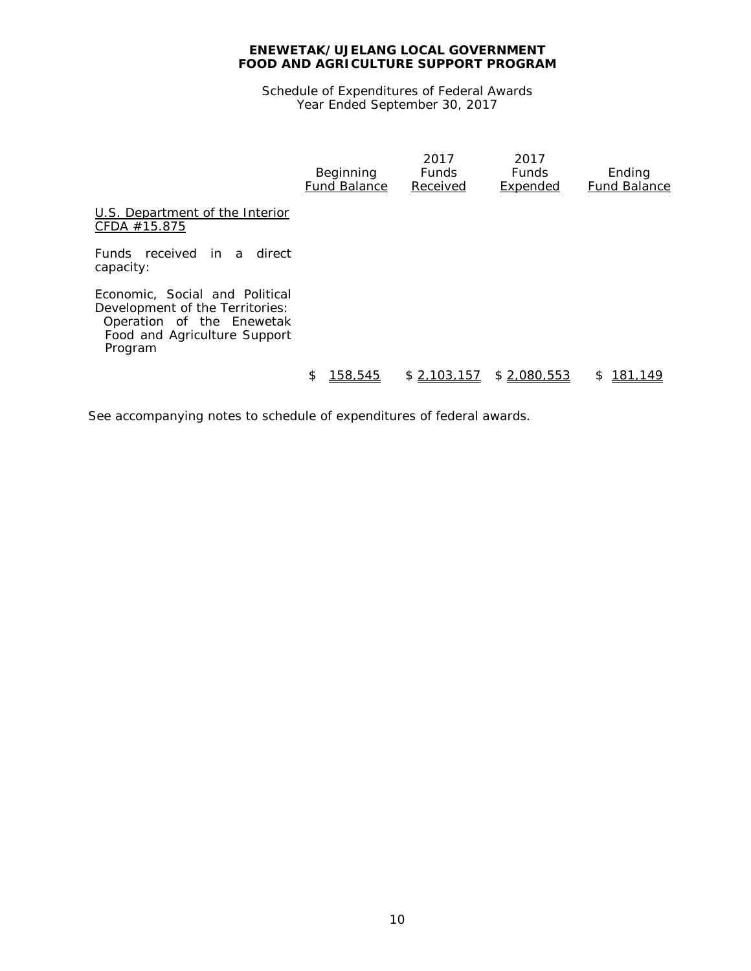Schedule of Expenditures of Federal Awards Year Ended September 30, 2017

|                                                                                                                                           | Beginning<br><b>Fund Balance</b> | 2017<br><b>Funds</b><br>Received | 2017<br><b>Funds</b><br>Expended | Ending<br>Fund Balance |
|-------------------------------------------------------------------------------------------------------------------------------------------|----------------------------------|----------------------------------|----------------------------------|------------------------|
| U.S. Department of the Interior<br>CFDA $#15.875$                                                                                         |                                  |                                  |                                  |                        |
| Funds received in a<br>direct<br>capacity:                                                                                                |                                  |                                  |                                  |                        |
| Economic, Social and Political<br>Development of the Territories:<br>Operation of the Enewetak<br>Food and Agriculture Support<br>Program |                                  |                                  |                                  |                        |
|                                                                                                                                           | \$<br>158,545                    | \$2,103,157                      | \$2,080,553                      | 181,149<br>S           |

See accompanying notes to schedule of expenditures of federal awards.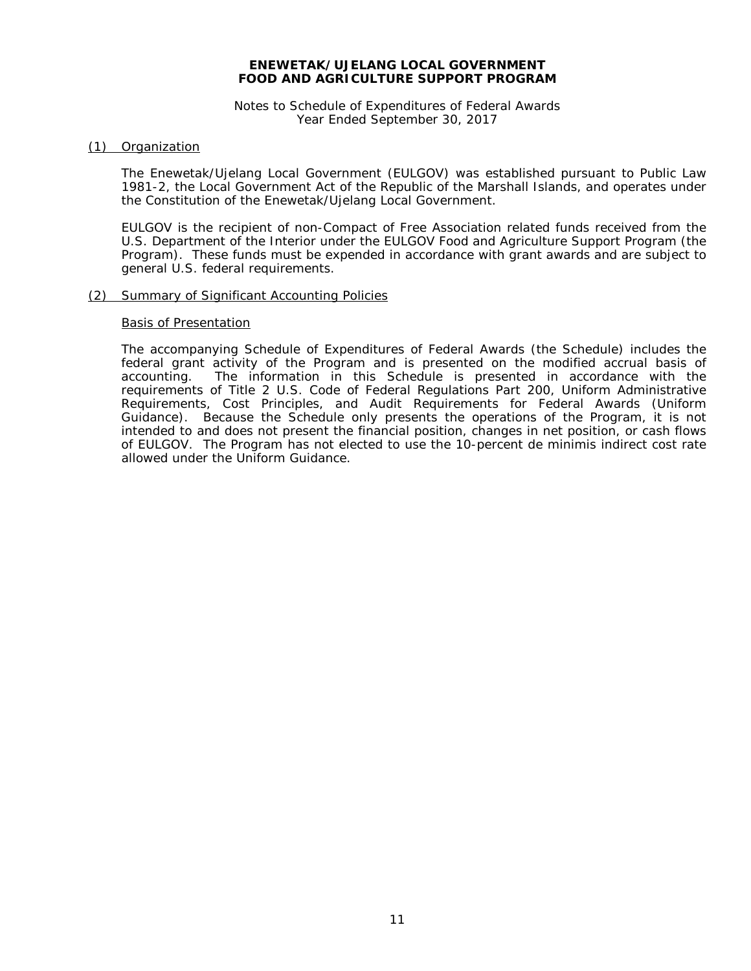Notes to Schedule of Expenditures of Federal Awards Year Ended September 30, 2017

### (1) Organization

The Enewetak/Ujelang Local Government (EULGOV) was established pursuant to Public Law 1981-2, the Local Government Act of the Republic of the Marshall Islands, and operates under the Constitution of the Enewetak/Ujelang Local Government.

EULGOV is the recipient of non-Compact of Free Association related funds received from the U.S. Department of the Interior under the EULGOV Food and Agriculture Support Program (the Program). These funds must be expended in accordance with grant awards and are subject to general U.S. federal requirements.

### (2) Summary of Significant Accounting Policies

### Basis of Presentation

The accompanying Schedule of Expenditures of Federal Awards (the Schedule) includes the federal grant activity of the Program and is presented on the modified accrual basis of The information in this Schedule is presented in accordance with the requirements of Title 2 U.S. *Code of Federal Regulations* Part 200, *Uniform Administrative Requirements, Cost Principles, and Audit Requirements for Federal Awards* (Uniform Guidance). Because the Schedule only presents the operations of the Program, it is not intended to and does not present the financial position, changes in net position, or cash flows of EULGOV. The Program has not elected to use the 10-percent de minimis indirect cost rate allowed under the Uniform Guidance.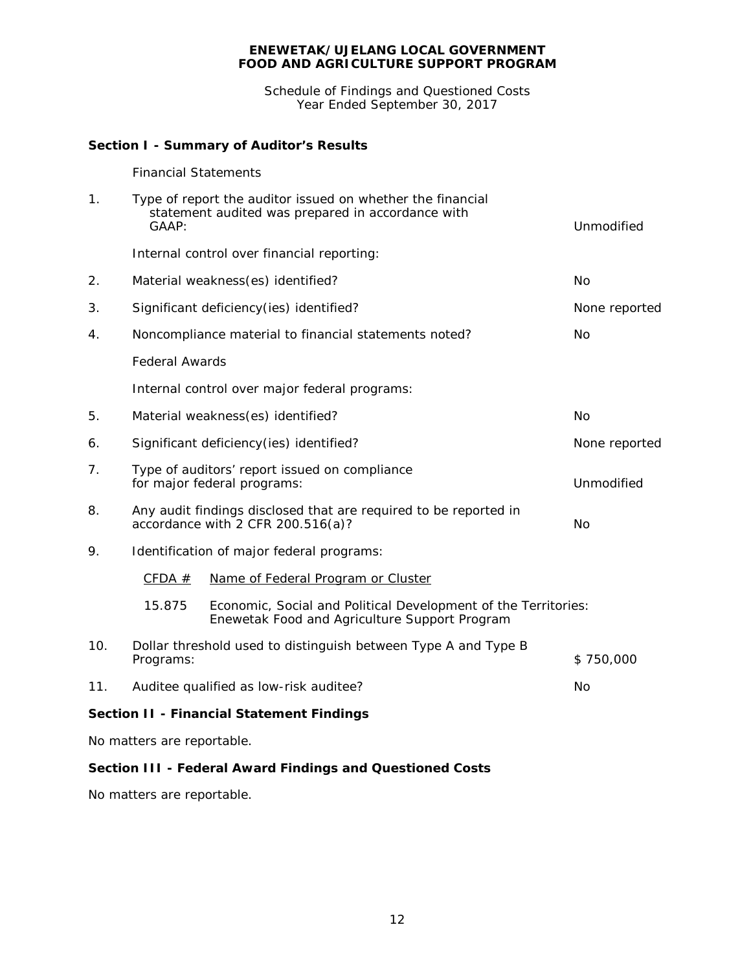Schedule of Findings and Questioned Costs Year Ended September 30, 2017

## **Section I - Summary of Auditor's Results**

### *Financial Statements*

| 1.  | Type of report the auditor issued on whether the financial<br>statement audited was prepared in accordance with<br>GAAP: | Unmodified                                                                                                      |  |  |  |  |
|-----|--------------------------------------------------------------------------------------------------------------------------|-----------------------------------------------------------------------------------------------------------------|--|--|--|--|
|     |                                                                                                                          | Internal control over financial reporting:                                                                      |  |  |  |  |
| 2.  | Material weakness(es) identified?                                                                                        | <b>No</b>                                                                                                       |  |  |  |  |
| 3.  | Significant deficiency(ies) identified?                                                                                  | None reported                                                                                                   |  |  |  |  |
| 4.  | Noncompliance material to financial statements noted?                                                                    | No                                                                                                              |  |  |  |  |
|     | <b>Federal Awards</b>                                                                                                    |                                                                                                                 |  |  |  |  |
|     | Internal control over major federal programs:                                                                            |                                                                                                                 |  |  |  |  |
| 5.  | Material weakness(es) identified?                                                                                        | No                                                                                                              |  |  |  |  |
| 6.  | Significant deficiency (ies) identified?                                                                                 | None reported                                                                                                   |  |  |  |  |
| 7.  | Type of auditors' report issued on compliance<br>Unmodified<br>for major federal programs:                               |                                                                                                                 |  |  |  |  |
| 8.  | Any audit findings disclosed that are required to be reported in<br>accordance with 2 CFR 200.516(a)?<br><b>No</b>       |                                                                                                                 |  |  |  |  |
| 9.  |                                                                                                                          | Identification of major federal programs:                                                                       |  |  |  |  |
|     | CFDA $#$                                                                                                                 | Name of Federal Program or Cluster                                                                              |  |  |  |  |
|     | 15.875                                                                                                                   | Economic, Social and Political Development of the Territories:<br>Enewetak Food and Agriculture Support Program |  |  |  |  |
| 10. | Dollar threshold used to distinguish between Type A and Type B<br>Programs:                                              | \$750,000                                                                                                       |  |  |  |  |
| 11. | No<br>Auditee qualified as low-risk auditee?                                                                             |                                                                                                                 |  |  |  |  |
|     |                                                                                                                          | <b>Section II - Financial Statement Findings</b>                                                                |  |  |  |  |
|     | No matters are reportable.                                                                                               |                                                                                                                 |  |  |  |  |

### **Section III - Federal Award Findings and Questioned Costs**

No matters are reportable.